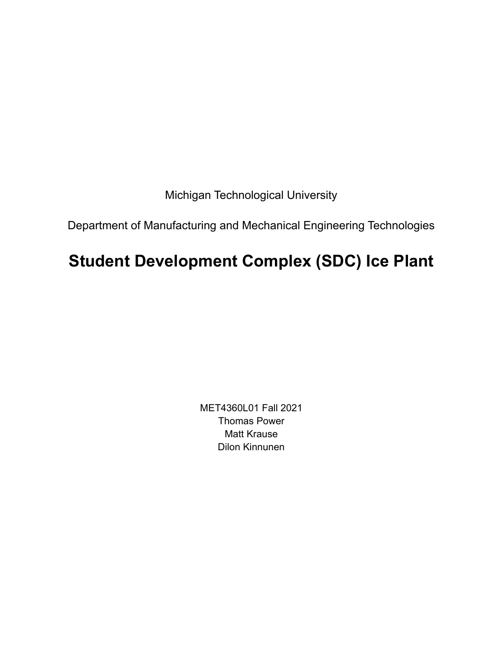Michigan Technological University

Department of Manufacturing and Mechanical Engineering Technologies

## **Student Development Complex (SDC) Ice Plant**

MET4360L01 Fall 2021 Thomas Power Matt Krause Dilon Kinnunen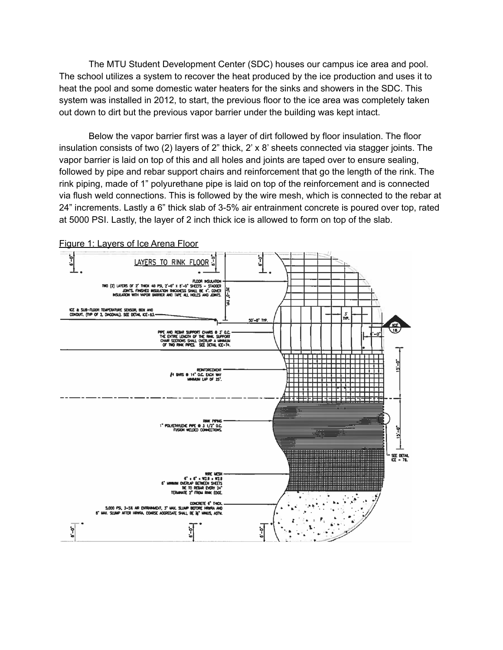The MTU Student Development Center (SDC) houses our campus ice area and pool. The school utilizes a system to recover the heat produced by the ice production and uses it to heat the pool and some domestic water heaters for the sinks and showers in the SDC. This system was installed in 2012, to start, the previous floor to the ice area was completely taken out down to dirt but the previous vapor barrier under the building was kept intact.

Below the vapor barrier first was a layer of dirt followed by floor insulation. The floor insulation consists of two (2) layers of 2" thick, 2' x 8' sheets connected via stagger joints. The vapor barrier is laid on top of this and all holes and joints are taped over to ensure sealing, followed by pipe and rebar support chairs and reinforcement that go the length of the rink. The rink piping, made of 1" polyurethane pipe is laid on top of the reinforcement and is connected via flush weld connections. This is followed by the wire mesh, which is connected to the rebar at 24" increments. Lastly a 6" thick slab of 3-5% air entrainment concrete is poured over top, rated at 5000 PSI. Lastly, the layer of 2 inch thick ice is allowed to form on top of the slab.



Figure 1: Layers of Ice Arena Floor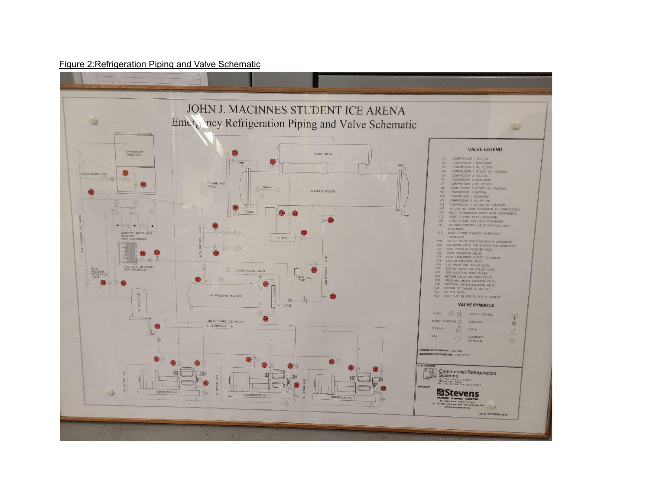## Figure 2:Refrigeration Piping and Valve Schematic